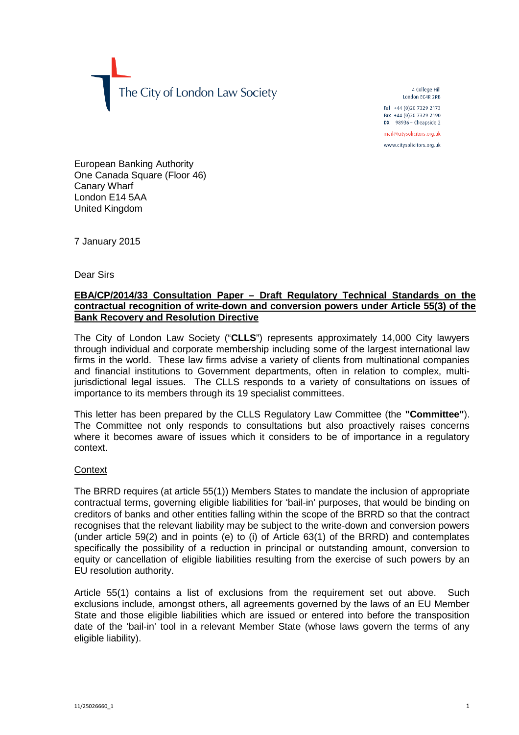The City of London Law Society

4 College Hill London FC4R 2RB

Tel +44 (0)20 7329 2173 Fax +44 (0)20 7329 2190 DX  $98936$  - Cheapside 2

mail@citysolicitors.org.uk

www.citysolicitors.org.uk

European Banking Authority One Canada Square (Floor 46) Canary Wharf London E14 5AA United Kingdom

7 January 2015

Dear Sirs

## **EBA/CP/2014/33 Consultation Paper – Draft Regulatory Technical Standards on the contractual recognition of write-down and conversion powers under Article 55(3) of the Bank Recovery and Resolution Directive**

The City of London Law Society ("**CLLS**") represents approximately 14,000 City lawyers through individual and corporate membership including some of the largest international law firms in the world. These law firms advise a variety of clients from multinational companies and financial institutions to Government departments, often in relation to complex, multijurisdictional legal issues. The CLLS responds to a variety of consultations on issues of importance to its members through its 19 specialist committees.

This letter has been prepared by the CLLS Regulatory Law Committee (the **"Committee"**). The Committee not only responds to consultations but also proactively raises concerns where it becomes aware of issues which it considers to be of importance in a regulatory context.

## **Context**

The BRRD requires (at article 55(1)) Members States to mandate the inclusion of appropriate contractual terms, governing eligible liabilities for 'bail-in' purposes, that would be binding on creditors of banks and other entities falling within the scope of the BRRD so that the contract recognises that the relevant liability may be subject to the write-down and conversion powers (under article 59(2) and in points (e) to (i) of Article 63(1) of the BRRD) and contemplates specifically the possibility of a reduction in principal or outstanding amount, conversion to equity or cancellation of eligible liabilities resulting from the exercise of such powers by an EU resolution authority.

Article 55(1) contains a list of exclusions from the requirement set out above. Such exclusions include, amongst others, all agreements governed by the laws of an EU Member State and those eligible liabilities which are issued or entered into before the transposition date of the 'bail-in' tool in a relevant Member State (whose laws govern the terms of any eligible liability).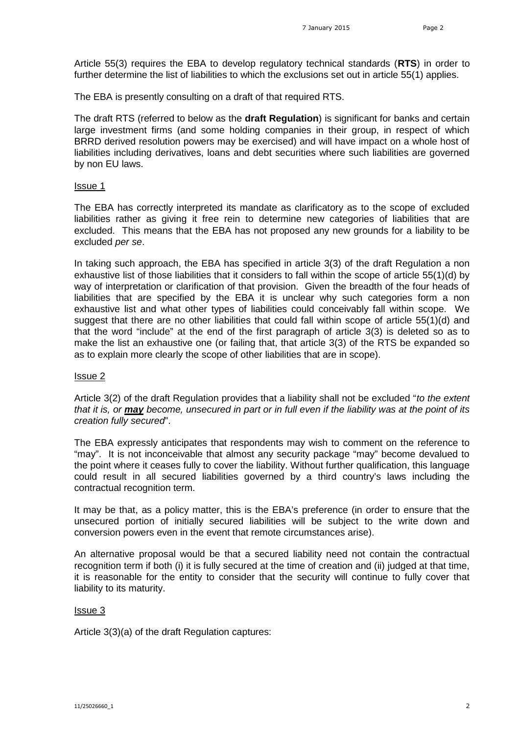Article 55(3) requires the EBA to develop regulatory technical standards (**RTS**) in order to further determine the list of liabilities to which the exclusions set out in article 55(1) applies.

The EBA is presently consulting on a draft of that required RTS.

The draft RTS (referred to below as the **draft Regulation**) is significant for banks and certain large investment firms (and some holding companies in their group, in respect of which BRRD derived resolution powers may be exercised) and will have impact on a whole host of liabilities including derivatives, loans and debt securities where such liabilities are governed by non EU laws.

#### Issue 1

The EBA has correctly interpreted its mandate as clarificatory as to the scope of excluded liabilities rather as giving it free rein to determine new categories of liabilities that are excluded. This means that the EBA has not proposed any new grounds for a liability to be excluded *per se*.

In taking such approach, the EBA has specified in article 3(3) of the draft Regulation a non exhaustive list of those liabilities that it considers to fall within the scope of article 55(1)(d) by way of interpretation or clarification of that provision. Given the breadth of the four heads of liabilities that are specified by the EBA it is unclear why such categories form a non exhaustive list and what other types of liabilities could conceivably fall within scope. We suggest that there are no other liabilities that could fall within scope of article 55(1)(d) and that the word "include" at the end of the first paragraph of article 3(3) is deleted so as to make the list an exhaustive one (or failing that, that article 3(3) of the RTS be expanded so as to explain more clearly the scope of other liabilities that are in scope).

## Issue 2

Article 3(2) of the draft Regulation provides that a liability shall not be excluded "*to the extent that it is, or may become, unsecured in part or in full even if the liability was at the point of its creation fully secured*".

The EBA expressly anticipates that respondents may wish to comment on the reference to "may". It is not inconceivable that almost any security package "may" become devalued to the point where it ceases fully to cover the liability. Without further qualification, this language could result in all secured liabilities governed by a third country's laws including the contractual recognition term.

It may be that, as a policy matter, this is the EBA's preference (in order to ensure that the unsecured portion of initially secured liabilities will be subject to the write down and conversion powers even in the event that remote circumstances arise).

An alternative proposal would be that a secured liability need not contain the contractual recognition term if both (i) it is fully secured at the time of creation and (ii) judged at that time, it is reasonable for the entity to consider that the security will continue to fully cover that liability to its maturity.

## Issue 3

Article 3(3)(a) of the draft Regulation captures: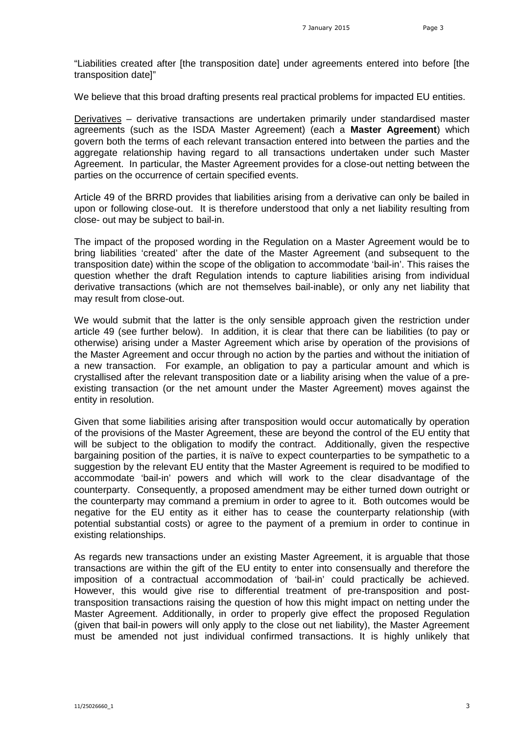"Liabilities created after [the transposition date] under agreements entered into before [the transposition date]"

We believe that this broad drafting presents real practical problems for impacted EU entities.

Derivatives – derivative transactions are undertaken primarily under standardised master agreements (such as the ISDA Master Agreement) (each a **Master Agreement**) which govern both the terms of each relevant transaction entered into between the parties and the aggregate relationship having regard to all transactions undertaken under such Master Agreement. In particular, the Master Agreement provides for a close-out netting between the parties on the occurrence of certain specified events.

Article 49 of the BRRD provides that liabilities arising from a derivative can only be bailed in upon or following close-out. It is therefore understood that only a net liability resulting from close- out may be subject to bail-in.

The impact of the proposed wording in the Regulation on a Master Agreement would be to bring liabilities 'created' after the date of the Master Agreement (and subsequent to the transposition date) within the scope of the obligation to accommodate 'bail-in'. This raises the question whether the draft Regulation intends to capture liabilities arising from individual derivative transactions (which are not themselves bail-inable), or only any net liability that may result from close-out.

We would submit that the latter is the only sensible approach given the restriction under article 49 (see further below). In addition, it is clear that there can be liabilities (to pay or otherwise) arising under a Master Agreement which arise by operation of the provisions of the Master Agreement and occur through no action by the parties and without the initiation of a new transaction. For example, an obligation to pay a particular amount and which is crystallised after the relevant transposition date or a liability arising when the value of a preexisting transaction (or the net amount under the Master Agreement) moves against the entity in resolution.

Given that some liabilities arising after transposition would occur automatically by operation of the provisions of the Master Agreement, these are beyond the control of the EU entity that will be subject to the obligation to modify the contract. Additionally, given the respective bargaining position of the parties, it is naïve to expect counterparties to be sympathetic to a suggestion by the relevant EU entity that the Master Agreement is required to be modified to accommodate 'bail-in' powers and which will work to the clear disadvantage of the counterparty. Consequently, a proposed amendment may be either turned down outright or the counterparty may command a premium in order to agree to it. Both outcomes would be negative for the EU entity as it either has to cease the counterparty relationship (with potential substantial costs) or agree to the payment of a premium in order to continue in existing relationships.

As regards new transactions under an existing Master Agreement, it is arguable that those transactions are within the gift of the EU entity to enter into consensually and therefore the imposition of a contractual accommodation of 'bail-in' could practically be achieved. However, this would give rise to differential treatment of pre-transposition and posttransposition transactions raising the question of how this might impact on netting under the Master Agreement. Additionally, in order to properly give effect the proposed Regulation (given that bail-in powers will only apply to the close out net liability), the Master Agreement must be amended not just individual confirmed transactions. It is highly unlikely that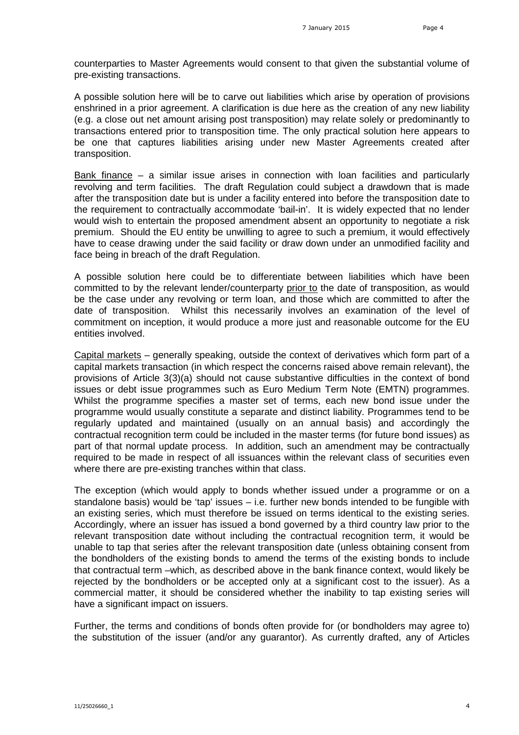counterparties to Master Agreements would consent to that given the substantial volume of pre-existing transactions.

A possible solution here will be to carve out liabilities which arise by operation of provisions enshrined in a prior agreement. A clarification is due here as the creation of any new liability (e.g. a close out net amount arising post transposition) may relate solely or predominantly to transactions entered prior to transposition time. The only practical solution here appears to be one that captures liabilities arising under new Master Agreements created after transposition.

Bank finance – a similar issue arises in connection with loan facilities and particularly revolving and term facilities. The draft Regulation could subject a drawdown that is made after the transposition date but is under a facility entered into before the transposition date to the requirement to contractually accommodate 'bail-in'. It is widely expected that no lender would wish to entertain the proposed amendment absent an opportunity to negotiate a risk premium. Should the EU entity be unwilling to agree to such a premium, it would effectively have to cease drawing under the said facility or draw down under an unmodified facility and face being in breach of the draft Regulation.

A possible solution here could be to differentiate between liabilities which have been committed to by the relevant lender/counterparty prior to the date of transposition, as would be the case under any revolving or term loan, and those which are committed to after the date of transposition. Whilst this necessarily involves an examination of the level of commitment on inception, it would produce a more just and reasonable outcome for the EU entities involved.

Capital markets – generally speaking, outside the context of derivatives which form part of a capital markets transaction (in which respect the concerns raised above remain relevant), the provisions of Article 3(3)(a) should not cause substantive difficulties in the context of bond issues or debt issue programmes such as Euro Medium Term Note (EMTN) programmes. Whilst the programme specifies a master set of terms, each new bond issue under the programme would usually constitute a separate and distinct liability. Programmes tend to be regularly updated and maintained (usually on an annual basis) and accordingly the contractual recognition term could be included in the master terms (for future bond issues) as part of that normal update process. In addition, such an amendment may be contractually required to be made in respect of all issuances within the relevant class of securities even where there are pre-existing tranches within that class.

The exception (which would apply to bonds whether issued under a programme or on a standalone basis) would be 'tap' issues – i.e. further new bonds intended to be fungible with an existing series, which must therefore be issued on terms identical to the existing series. Accordingly, where an issuer has issued a bond governed by a third country law prior to the relevant transposition date without including the contractual recognition term, it would be unable to tap that series after the relevant transposition date (unless obtaining consent from the bondholders of the existing bonds to amend the terms of the existing bonds to include that contractual term –which, as described above in the bank finance context, would likely be rejected by the bondholders or be accepted only at a significant cost to the issuer). As a commercial matter, it should be considered whether the inability to tap existing series will have a significant impact on issuers.

Further, the terms and conditions of bonds often provide for (or bondholders may agree to) the substitution of the issuer (and/or any guarantor). As currently drafted, any of Articles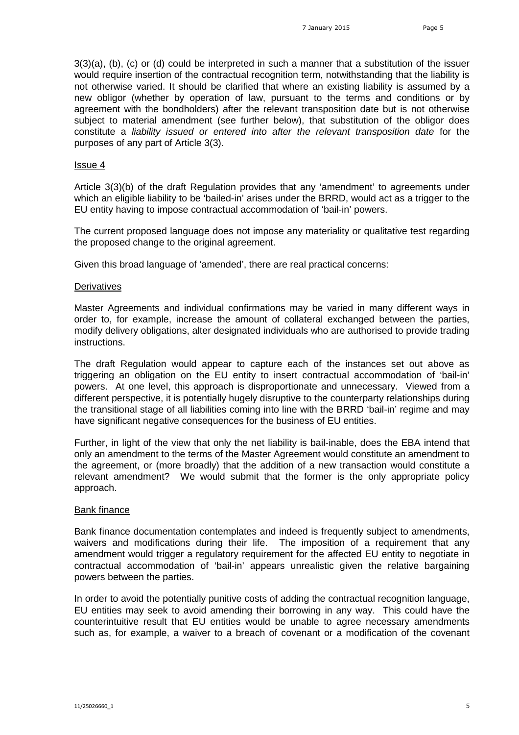3(3)(a), (b), (c) or (d) could be interpreted in such a manner that a substitution of the issuer would require insertion of the contractual recognition term, notwithstanding that the liability is not otherwise varied. It should be clarified that where an existing liability is assumed by a new obligor (whether by operation of law, pursuant to the terms and conditions or by agreement with the bondholders) after the relevant transposition date but is not otherwise subject to material amendment (see further below), that substitution of the obligor does constitute a *liability issued or entered into after the relevant transposition date* for the purposes of any part of Article 3(3).

#### Issue 4

Article 3(3)(b) of the draft Regulation provides that any 'amendment' to agreements under which an eligible liability to be 'bailed-in' arises under the BRRD, would act as a trigger to the EU entity having to impose contractual accommodation of 'bail-in' powers.

The current proposed language does not impose any materiality or qualitative test regarding the proposed change to the original agreement.

Given this broad language of 'amended', there are real practical concerns:

#### **Derivatives**

Master Agreements and individual confirmations may be varied in many different ways in order to, for example, increase the amount of collateral exchanged between the parties, modify delivery obligations, alter designated individuals who are authorised to provide trading instructions.

The draft Regulation would appear to capture each of the instances set out above as triggering an obligation on the EU entity to insert contractual accommodation of 'bail-in' powers. At one level, this approach is disproportionate and unnecessary. Viewed from a different perspective, it is potentially hugely disruptive to the counterparty relationships during the transitional stage of all liabilities coming into line with the BRRD 'bail-in' regime and may have significant negative consequences for the business of EU entities.

Further, in light of the view that only the net liability is bail-inable, does the EBA intend that only an amendment to the terms of the Master Agreement would constitute an amendment to the agreement, or (more broadly) that the addition of a new transaction would constitute a relevant amendment? We would submit that the former is the only appropriate policy approach.

### Bank finance

Bank finance documentation contemplates and indeed is frequently subject to amendments, waivers and modifications during their life. The imposition of a requirement that any amendment would trigger a regulatory requirement for the affected EU entity to negotiate in contractual accommodation of 'bail-in' appears unrealistic given the relative bargaining powers between the parties.

In order to avoid the potentially punitive costs of adding the contractual recognition language, EU entities may seek to avoid amending their borrowing in any way. This could have the counterintuitive result that EU entities would be unable to agree necessary amendments such as, for example, a waiver to a breach of covenant or a modification of the covenant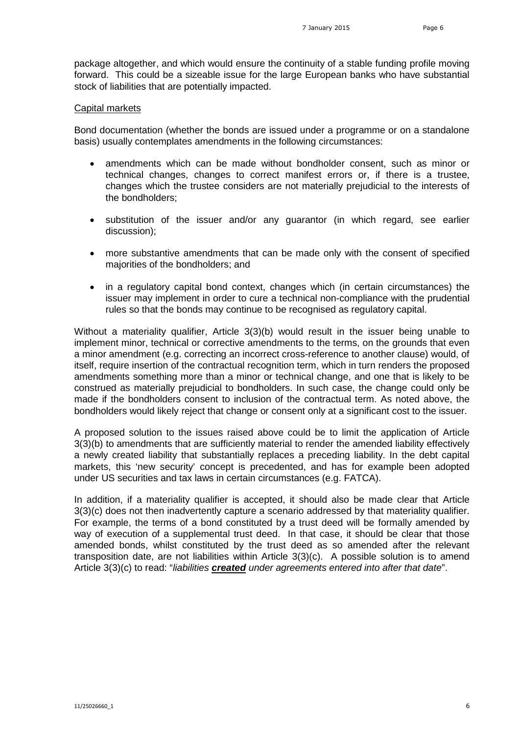package altogether, and which would ensure the continuity of a stable funding profile moving forward. This could be a sizeable issue for the large European banks who have substantial stock of liabilities that are potentially impacted.

#### Capital markets

Bond documentation (whether the bonds are issued under a programme or on a standalone basis) usually contemplates amendments in the following circumstances:

- amendments which can be made without bondholder consent, such as minor or technical changes, changes to correct manifest errors or, if there is a trustee, changes which the trustee considers are not materially prejudicial to the interests of the bondholders;
- substitution of the issuer and/or any guarantor (in which regard, see earlier discussion);
- more substantive amendments that can be made only with the consent of specified majorities of the bondholders; and
- in a regulatory capital bond context, changes which (in certain circumstances) the issuer may implement in order to cure a technical non-compliance with the prudential rules so that the bonds may continue to be recognised as regulatory capital.

Without a materiality qualifier, Article 3(3)(b) would result in the issuer being unable to implement minor, technical or corrective amendments to the terms, on the grounds that even a minor amendment (e.g. correcting an incorrect cross-reference to another clause) would, of itself, require insertion of the contractual recognition term, which in turn renders the proposed amendments something more than a minor or technical change, and one that is likely to be construed as materially prejudicial to bondholders. In such case, the change could only be made if the bondholders consent to inclusion of the contractual term. As noted above, the bondholders would likely reject that change or consent only at a significant cost to the issuer.

A proposed solution to the issues raised above could be to limit the application of Article 3(3)(b) to amendments that are sufficiently material to render the amended liability effectively a newly created liability that substantially replaces a preceding liability. In the debt capital markets, this 'new security' concept is precedented, and has for example been adopted under US securities and tax laws in certain circumstances (e.g. FATCA).

In addition, if a materiality qualifier is accepted, it should also be made clear that Article 3(3)(c) does not then inadvertently capture a scenario addressed by that materiality qualifier. For example, the terms of a bond constituted by a trust deed will be formally amended by way of execution of a supplemental trust deed. In that case, it should be clear that those amended bonds, whilst constituted by the trust deed as so amended after the relevant transposition date, are not liabilities within Article 3(3)(c). A possible solution is to amend Article 3(3)(c) to read: "*liabilities created under agreements entered into after that date*".